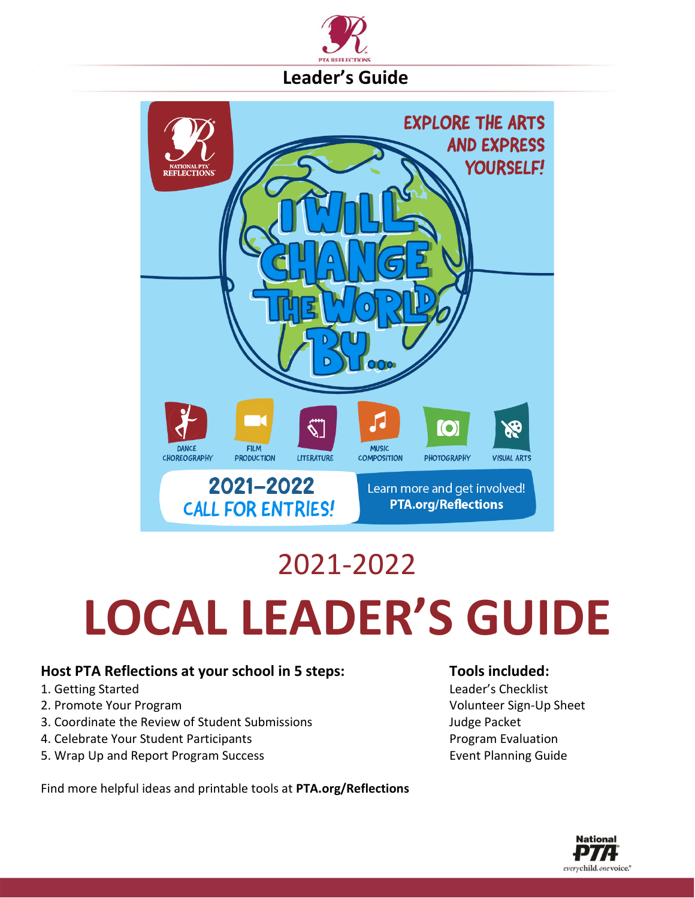



# 2021-2022 **LOCAL LEADER'S GUIDE**

### **Host PTA Reflections at your school in 5 steps: Tools included:**

- 
- 
- 3. Coordinate the Review of Student Submissions Judge Packet
- 4. Celebrate Your Student Participants Program Evaluation
- 5. Wrap Up and Report Program Success Event Planning Guide

#### Find more helpful ideas and printable tools at **PTA.org/Reflections**

1. Getting Started Leader's Checklist 2. Promote Your Program Volunteer Sign-Up Sheet

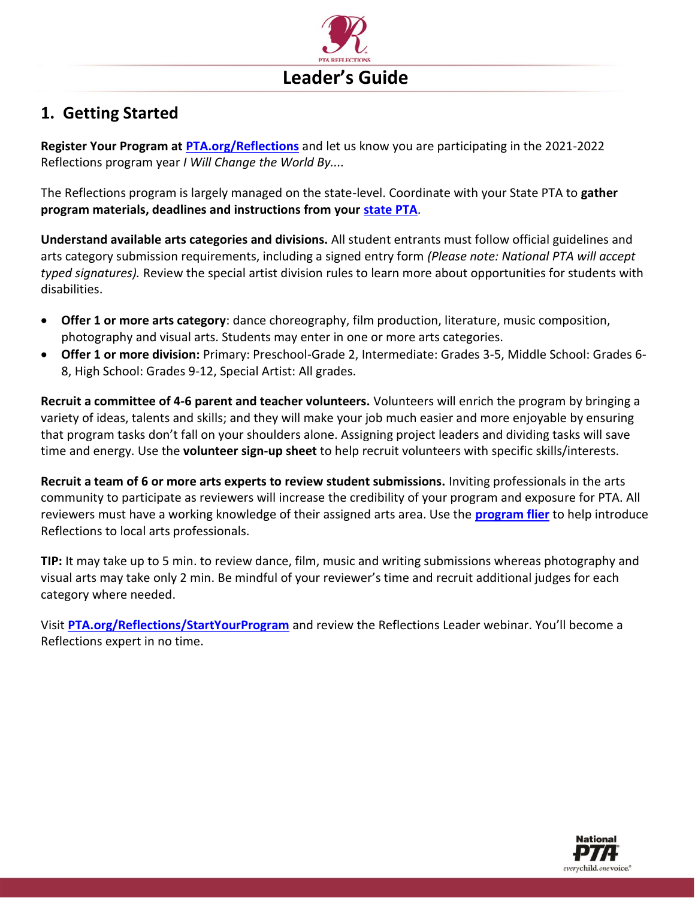

### **1. Getting Started**

**Register Your Program at [PTA.org/Reflections](https://www.pta.org/home/programs/reflections)** and let us know you are participating in the 2021-2022 Reflections program year *I Will Change the World By....*

The Reflections program is largely managed on the state-level. Coordinate with your State PTA to **gather program materials, deadlines and instructions from your [state PTA](https://www.pta.org/home/programs/reflections/reflections-state-programs)**.

**Understand available arts categories and divisions.** All student entrants must follow official guidelines and arts category submission requirements, including a signed entry form *(Please note: National PTA will accept typed signatures).* Review the special artist division rules to learn more about opportunities for students with disabilities.

- **Offer 1 or more arts category**: dance choreography, film production, literature, music composition, photography and visual arts. Students may enter in one or more arts categories.
- **Offer 1 or more division:** Primary: Preschool-Grade 2, Intermediate: Grades 3-5, Middle School: Grades 6- 8, High School: Grades 9-12, Special Artist: All grades.

**Recruit a committee of 4-6 parent and teacher volunteers.** Volunteers will enrich the program by bringing a variety of ideas, talents and skills; and they will make your job much easier and more enjoyable by ensuring that program tasks don't fall on your shoulders alone. Assigning project leaders and dividing tasks will save time and energy. Use the **volunteer sign-up sheet** to help recruit volunteers with specific skills/interests.

**Recruit a team of 6 or more arts experts to review student submissions.** Inviting professionals in the arts community to participate as reviewers will increase the credibility of your program and exposure for PTA. All reviewers must have a working knowledge of their assigned arts area. Use the **[program flier](https://www.pta.org/docs/default-source/files/programs/reflections/reflections-2019-2020/reflections_flyer_spa-eng.pdf)** to help introduce Reflections to local arts professionals.

**TIP:** It may take up to 5 min. to review dance, film, music and writing submissions whereas photography and visual arts may take only 2 min. Be mindful of your reviewer's time and recruit additional judges for each category where needed.

Visit **[PTA.org/Reflections/](https://www.pta.org/home/programs/reflections/startyourprogram)StartYourProgram** and review the Reflections Leader webinar. You'll become a Reflections expert in no time.

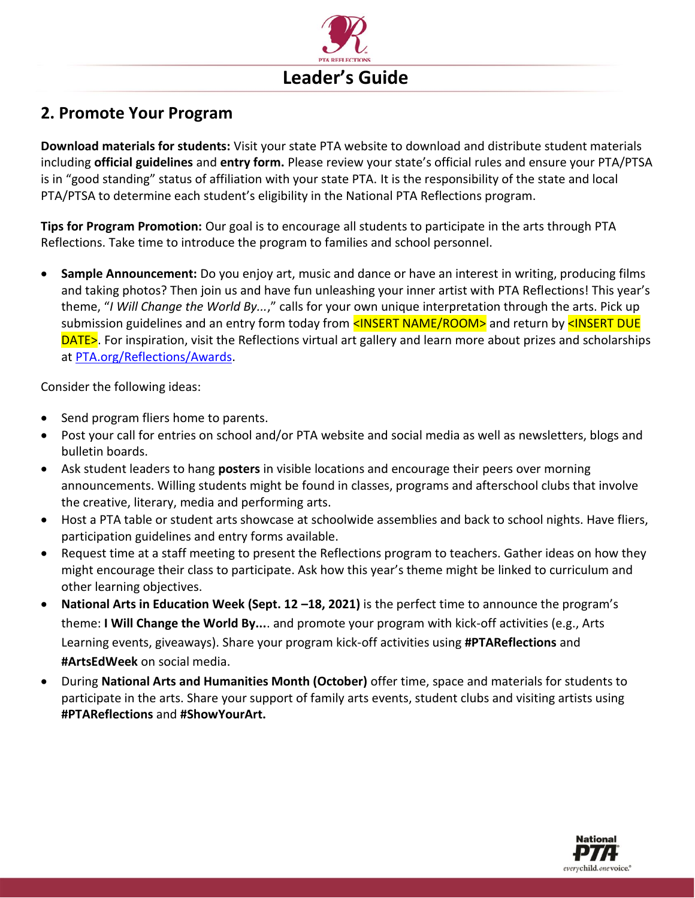

### **2. Promote Your Program**

**Download materials for students:** Visit your state PTA website to download and distribute student materials including **official guidelines** and **entry form.** Please review your state's official rules and ensure your PTA/PTSA is in "good standing" status of affiliation with your state PTA. It is the responsibility of the state and local PTA/PTSA to determine each student's eligibility in the National PTA Reflections program.

**Tips for Program Promotion:** Our goal is to encourage all students to participate in the arts through PTA Reflections. Take time to introduce the program to families and school personnel.

• **Sample Announcement:** Do you enjoy art, music and dance or have an interest in writing, producing films and taking photos? Then join us and have fun unleashing your inner artist with PTA Reflections! This year's theme, "*I Will Change the World By...*," calls for your own unique interpretation through the arts. Pick up submission guidelines and an entry form today from <INSERT NAME/ROOM> and return by <INSERT DUE DATE>. For inspiration, visit the Reflections virtual art gallery and learn more about prizes and scholarships at [PTA.org/Reflections/Awards.](https://www.pta.org/home/programs/reflections/artgallery)

Consider the following ideas:

- Send program fliers home to parents.
- Post your call for entries on school and/or PTA website and social media as well as newsletters, blogs and bulletin boards.
- Ask student leaders to hang **posters** in visible locations and encourage their peers over morning announcements. Willing students might be found in classes, programs and afterschool clubs that involve the creative, literary, media and performing arts.
- Host a PTA table or student arts showcase at schoolwide assemblies and back to school nights. Have fliers, participation guidelines and entry forms available.
- Request time at a staff meeting to present the Reflections program to teachers. Gather ideas on how they might encourage their class to participate. Ask how this year's theme might be linked to curriculum and other learning objectives.
- **National Arts in Education Week (Sept. 12 –18, 2021)** is the perfect time to announce the program's theme: **I Will Change the World By...**. and promote your program with kick-off activities (e.g., Arts Learning events, giveaways). Share your program kick-off activities using **#PTAReflections** and **#ArtsEdWeek** on social media.
- During **National Arts and Humanities Month (October)** offer time, space and materials for students to participate in the arts. Share your support of family arts events, student clubs and visiting artists using **#PTAReflections** and **#ShowYourArt.**

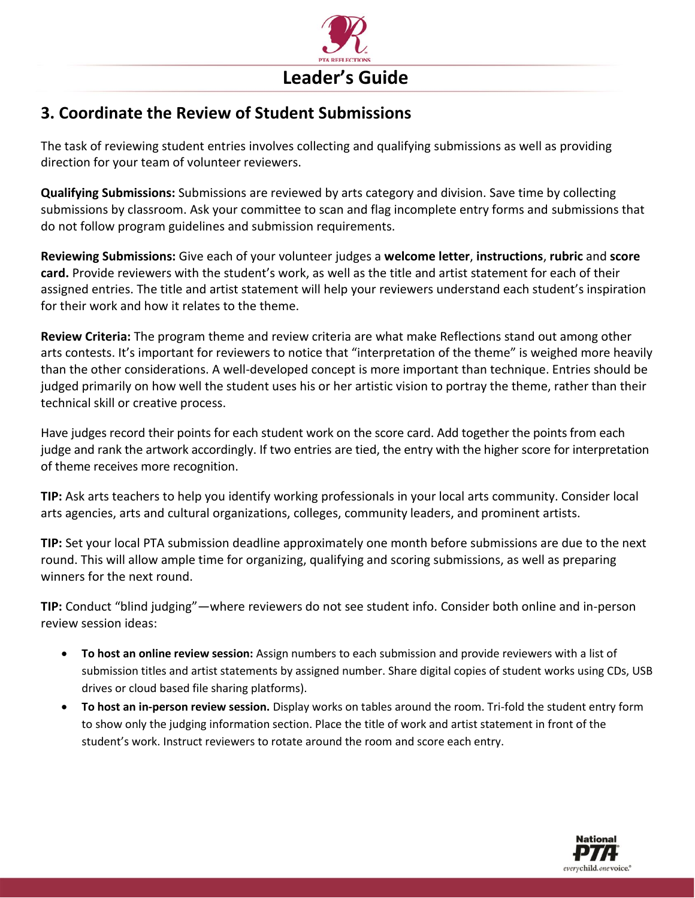

### **3. Coordinate the Review of Student Submissions**

The task of reviewing student entries involves collecting and qualifying submissions as well as providing direction for your team of volunteer reviewers.

**Qualifying Submissions:** Submissions are reviewed by arts category and division. Save time by collecting submissions by classroom. Ask your committee to scan and flag incomplete entry forms and submissions that do not follow program guidelines and submission requirements.

**Reviewing Submissions:** Give each of your volunteer judges a **welcome letter**, **instructions**, **rubric** and **score card.** Provide reviewers with the student's work, as well as the title and artist statement for each of their assigned entries. The title and artist statement will help your reviewers understand each student's inspiration for their work and how it relates to the theme.

**Review Criteria:** The program theme and review criteria are what make Reflections stand out among other arts contests. It's important for reviewers to notice that "interpretation of the theme" is weighed more heavily than the other considerations. A well-developed concept is more important than technique. Entries should be judged primarily on how well the student uses his or her artistic vision to portray the theme, rather than their technical skill or creative process.

Have judges record their points for each student work on the score card. Add together the points from each judge and rank the artwork accordingly. If two entries are tied, the entry with the higher score for interpretation of theme receives more recognition.

**TIP:** Ask arts teachers to help you identify working professionals in your local arts community. Consider local arts agencies, arts and cultural organizations, colleges, community leaders, and prominent artists.

**TIP:** Set your local PTA submission deadline approximately one month before submissions are due to the next round. This will allow ample time for organizing, qualifying and scoring submissions, as well as preparing winners for the next round.

**TIP:** Conduct "blind judging"—where reviewers do not see student info. Consider both online and in-person review session ideas:

- **To host an online review session:** Assign numbers to each submission and provide reviewers with a list of submission titles and artist statements by assigned number. Share digital copies of student works using CDs, USB drives or cloud based file sharing platforms).
- **To host an in-person review session.** Display works on tables around the room. Tri-fold the student entry form to show only the judging information section. Place the title of work and artist statement in front of the student's work. Instruct reviewers to rotate around the room and score each entry.

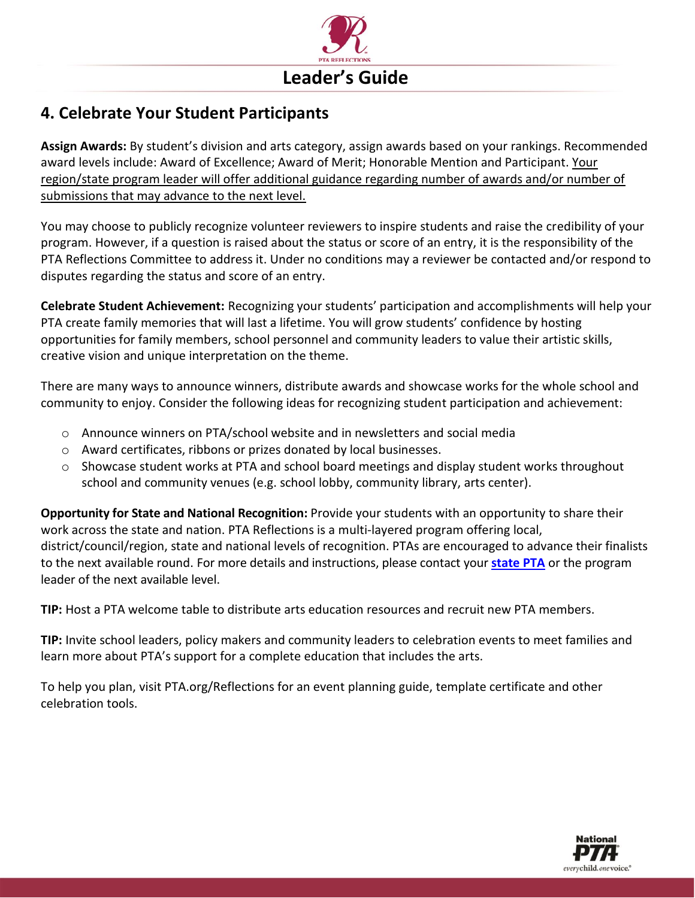

### **4. Celebrate Your Student Participants**

**Assign Awards:** By student's division and arts category, assign awards based on your rankings. Recommended award levels include: Award of Excellence; Award of Merit; Honorable Mention and Participant. Your region/state program leader will offer additional guidance regarding number of awards and/or number of submissions that may advance to the next level.

You may choose to publicly recognize volunteer reviewers to inspire students and raise the credibility of your program. However, if a question is raised about the status or score of an entry, it is the responsibility of the PTA Reflections Committee to address it. Under no conditions may a reviewer be contacted and/or respond to disputes regarding the status and score of an entry.

**Celebrate Student Achievement:** Recognizing your students' participation and accomplishments will help your PTA create family memories that will last a lifetime. You will grow students' confidence by hosting opportunities for family members, school personnel and community leaders to value their artistic skills, creative vision and unique interpretation on the theme.

There are many ways to announce winners, distribute awards and showcase works for the whole school and community to enjoy. Consider the following ideas for recognizing student participation and achievement:

- o Announce winners on PTA/school website and in newsletters and social media
- o Award certificates, ribbons or prizes donated by local businesses.
- $\circ$  Showcase student works at PTA and school board meetings and display student works throughout school and community venues (e.g. school lobby, community library, arts center).

**Opportunity for State and National Recognition:** Provide your students with an opportunity to share their work across the state and nation. PTA Reflections is a multi-layered program offering local, district/council/region, state and national levels of recognition. PTAs are encouraged to advance their finalists to the next available round. For more details and instructions, please contact your **[state PTA](https://www.pta.org/home/programs/reflections/reflections-state-programs)** or the program leader of the next available level.

**TIP:** Host a PTA welcome table to distribute arts education resources and recruit new PTA members.

**TIP:** Invite school leaders, policy makers and community leaders to celebration events to meet families and learn more about PTA's support for a complete education that includes the arts.

To help you plan, visit PTA.org/Reflections for an event planning guide, template certificate and other celebration tools.

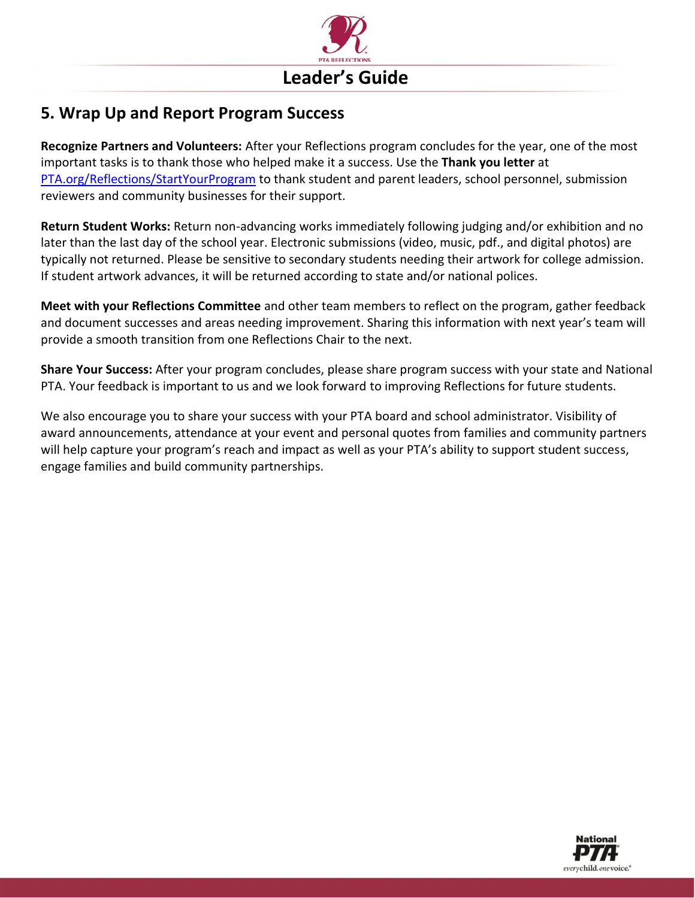

### **5. Wrap Up and Report Program Success**

**Recognize Partners and Volunteers:** After your Reflections program concludes for the year, one of the most important tasks is to thank those who helped make it a success. Use the **Thank you letter** at [PTA.org/Reflections/StartYourProgram](https://www.pta.org/home/programs/reflections/startyourprogram) to thank student and parent leaders, school personnel, submission reviewers and community businesses for their support.

**Return Student Works:** Return non-advancing works immediately following judging and/or exhibition and no later than the last day of the school year. Electronic submissions (video, music, pdf., and digital photos) are typically not returned. Please be sensitive to secondary students needing their artwork for college admission. If student artwork advances, it will be returned according to state and/or national polices.

**Meet with your Reflections Committee** and other team members to reflect on the program, gather feedback and document successes and areas needing improvement. Sharing this information with next year's team will provide a smooth transition from one Reflections Chair to the next.

**Share Your Success:** After your program concludes, please share program success with your state and National PTA. Your feedback is important to us and we look forward to improving Reflections for future students.

We also encourage you to share your success with your PTA board and school administrator. Visibility of award announcements, attendance at your event and personal quotes from families and community partners will help capture your program's reach and impact as well as your PTA's ability to support student success, engage families and build community partnerships.

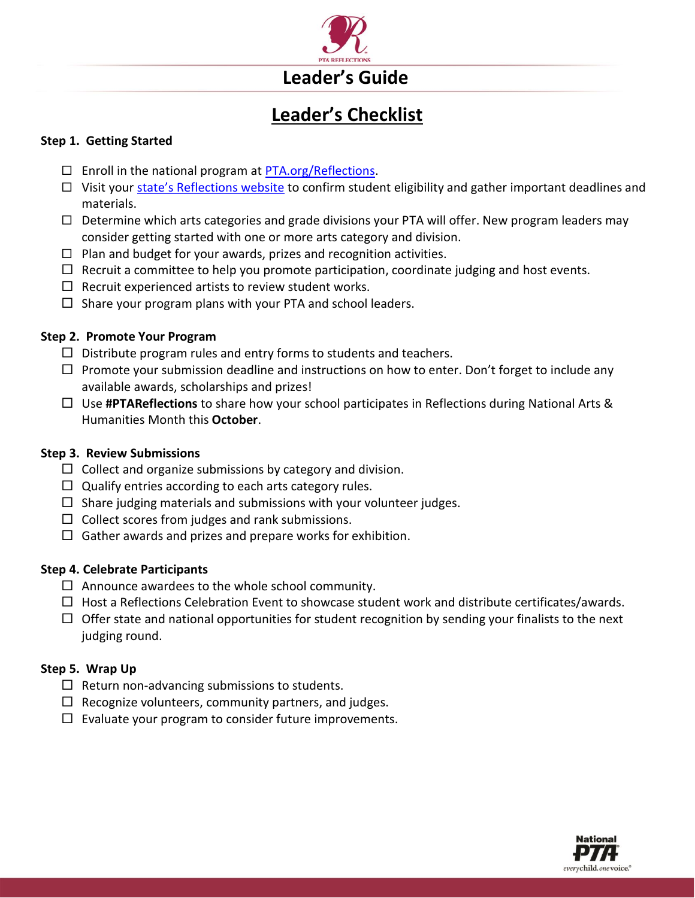

## **Leader's Guide**

### **Leader's Checklist**

#### **Step 1. Getting Started**

- $\Box$  Enroll in the national program at [PTA.org/Reflections.](http://www.pta.org/reflections)
- □ Visit your [state's Reflections website](https://www.pta.org/home/programs/reflections/startyourprogram#guidelines) to confirm student eligibility and gather important deadlines and materials.
- $\Box$  Determine which arts categories and grade divisions your PTA will offer. New program leaders may consider getting started with one or more arts category and division.
- $\Box$  Plan and budget for your awards, prizes and recognition activities.
- $\Box$  Recruit a committee to help you promote participation, coordinate judging and host events.
- $\Box$  Recruit experienced artists to review student works.
- $\Box$  Share your program plans with your PTA and school leaders.

#### **Step 2. Promote Your Program**

- $\Box$  Distribute program rules and entry forms to students and teachers.
- $\Box$  Promote your submission deadline and instructions on how to enter. Don't forget to include any available awards, scholarships and prizes!
- Use **#PTAReflections** to share how your school participates in Reflections during National Arts & Humanities Month this **October**.

#### **Step 3. Review Submissions**

- $\Box$  Collect and organize submissions by category and division.
- $\Box$  Qualify entries according to each arts category rules.
- $\Box$  Share judging materials and submissions with your volunteer judges.
- $\Box$  Collect scores from judges and rank submissions.
- $\Box$  Gather awards and prizes and prepare works for exhibition.

#### **Step 4. Celebrate Participants**

- $\Box$  Announce awardees to the whole school community.
- $\Box$  Host a Reflections Celebration Event to showcase student work and distribute certificates/awards.
- $\Box$  Offer state and national opportunities for student recognition by sending your finalists to the next judging round.

#### **Step 5. Wrap Up**

- $\Box$  Return non-advancing submissions to students.
- $\Box$  Recognize volunteers, community partners, and judges.
- $\square$  Evaluate your program to consider future improvements.

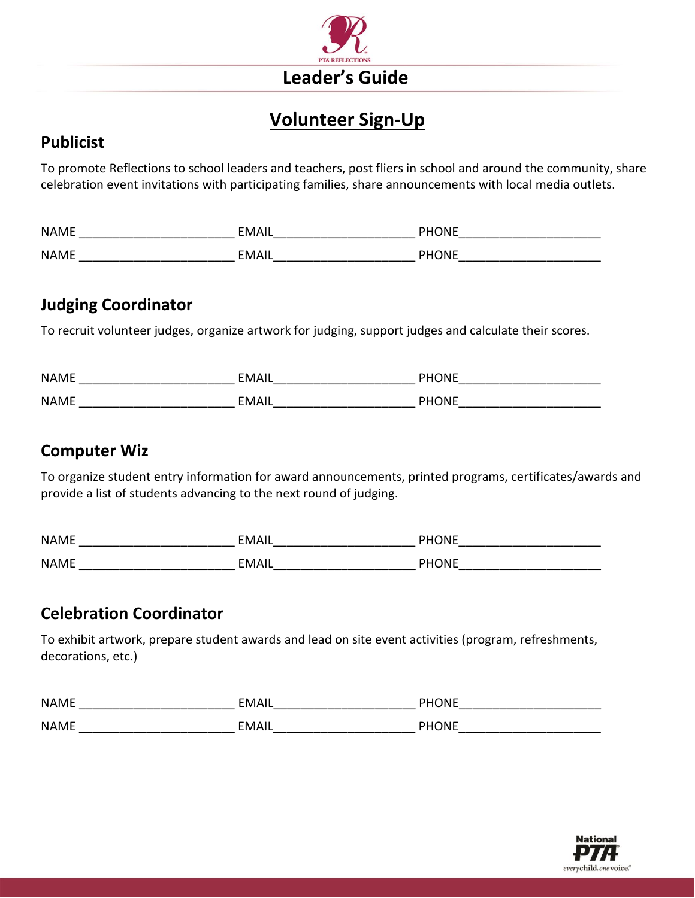

### **Volunteer Sign-Up**

### **Publicist**

To promote Reflections to school leaders and teachers, post fliers in school and around the community, share celebration event invitations with participating families, share announcements with local media outlets.

| <b>NAME</b> | <b>FMAIL</b>        | <b>DHONE</b> |
|-------------|---------------------|--------------|
| <b>NAME</b> | <b>EMAII</b><br>┒╻┖ | <b>DHONE</b> |

### **Judging Coordinator**

To recruit volunteer judges, organize artwork for judging, support judges and calculate their scores.

| <b>NAME</b> | <b>EMAIL</b> | <b>PHONE</b> |
|-------------|--------------|--------------|
| <b>NAME</b> | <b>FMAII</b> | <b>PHONE</b> |

### **Computer Wiz**

To organize student entry information for award announcements, printed programs, certificates/awards and provide a list of students advancing to the next round of judging.

| <b>NAME</b> | <b>FMAII</b> | <b>PHONE</b> |
|-------------|--------------|--------------|
| <b>NAME</b> | EMAIL        | <b>PHONE</b> |

### **Celebration Coordinator**

To exhibit artwork, prepare student awards and lead on site event activities (program, refreshments, decorations, etc.)

| <b>NAME</b> | EMAIL        | <b>PHONE</b> |
|-------------|--------------|--------------|
| <b>NAME</b> | <b>EMAIL</b> | <b>PHONE</b> |

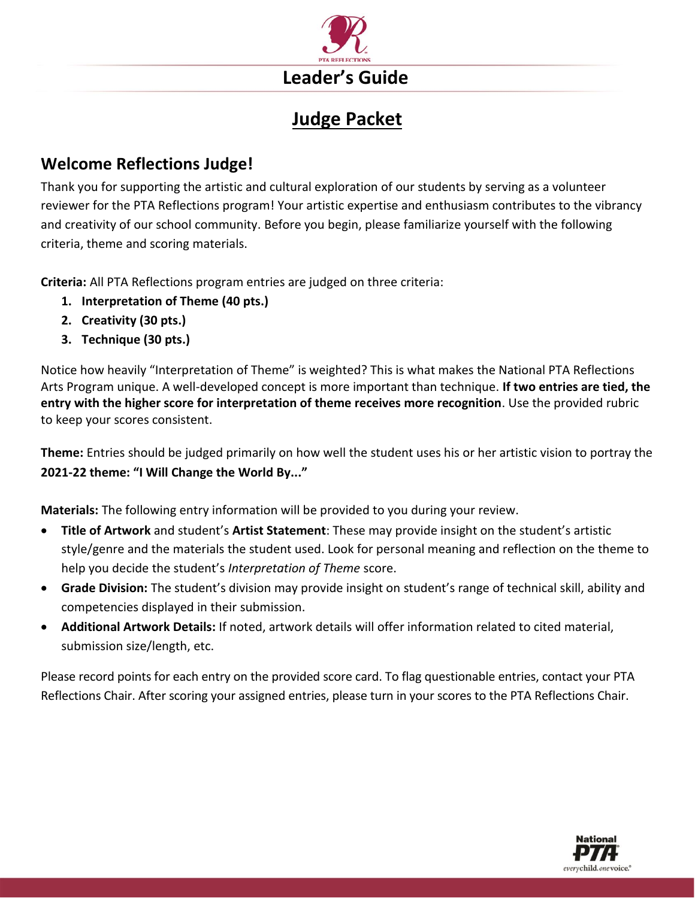

### **Judge Packet**

### **Welcome Reflections Judge!**

Thank you for supporting the artistic and cultural exploration of our students by serving as a volunteer reviewer for the PTA Reflections program! Your artistic expertise and enthusiasm contributes to the vibrancy and creativity of our school community. Before you begin, please familiarize yourself with the following criteria, theme and scoring materials.

**Criteria:** All PTA Reflections program entries are judged on three criteria:

- **1. Interpretation of Theme (40 pts.)**
- **2. Creativity (30 pts.)**
- **3. Technique (30 pts.)**

Notice how heavily "Interpretation of Theme" is weighted? This is what makes the National PTA Reflections Arts Program unique. A well-developed concept is more important than technique. **If two entries are tied, the entry with the higher score for interpretation of theme receives more recognition**. Use the provided rubric to keep your scores consistent.

**Theme:** Entries should be judged primarily on how well the student uses his or her artistic vision to portray the **2021-22 theme: "I Will Change the World By..."**

**Materials:** The following entry information will be provided to you during your review.

- **Title of Artwork** and student's **Artist Statement**: These may provide insight on the student's artistic style/genre and the materials the student used. Look for personal meaning and reflection on the theme to help you decide the student's *Interpretation of Theme* score.
- **Grade Division:** The student's division may provide insight on student's range of technical skill, ability and competencies displayed in their submission.
- **Additional Artwork Details:** If noted, artwork details will offer information related to cited material, submission size/length, etc.

Please record points for each entry on the provided score card. To flag questionable entries, contact your PTA Reflections Chair. After scoring your assigned entries, please turn in your scores to the PTA Reflections Chair.

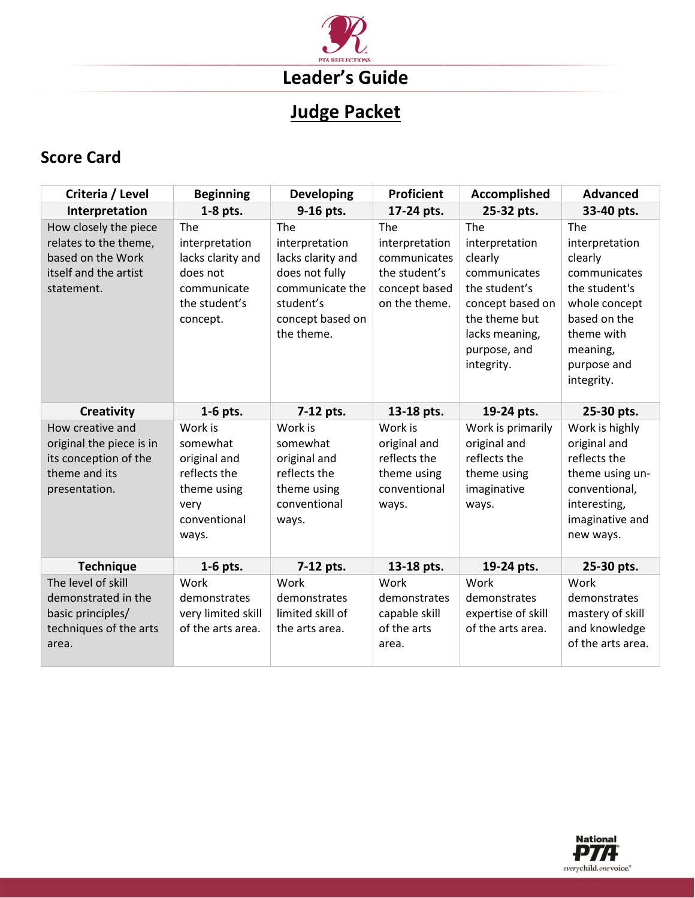

### **Judge Packet**

### **Score Card**

| Criteria / Level                                                                                           | <b>Beginning</b>                                                                                    | <b>Developing</b>                                                                                                              | <b>Proficient</b>                                                                        | <b>Accomplished</b>                                                                                                                                    | <b>Advanced</b>                                                                                                                                           |
|------------------------------------------------------------------------------------------------------------|-----------------------------------------------------------------------------------------------------|--------------------------------------------------------------------------------------------------------------------------------|------------------------------------------------------------------------------------------|--------------------------------------------------------------------------------------------------------------------------------------------------------|-----------------------------------------------------------------------------------------------------------------------------------------------------------|
| Interpretation                                                                                             | 1-8 pts.                                                                                            | 9-16 pts.                                                                                                                      | 17-24 pts.                                                                               | 25-32 pts.                                                                                                                                             | 33-40 pts.                                                                                                                                                |
| How closely the piece<br>relates to the theme,<br>based on the Work<br>itself and the artist<br>statement. | The<br>interpretation<br>lacks clarity and<br>does not<br>communicate<br>the student's<br>concept.  | The<br>interpretation<br>lacks clarity and<br>does not fully<br>communicate the<br>student's<br>concept based on<br>the theme. | The<br>interpretation<br>communicates<br>the student's<br>concept based<br>on the theme. | The<br>interpretation<br>clearly<br>communicates<br>the student's<br>concept based on<br>the theme but<br>lacks meaning,<br>purpose, and<br>integrity. | The<br>interpretation<br>clearly<br>communicates<br>the student's<br>whole concept<br>based on the<br>theme with<br>meaning,<br>purpose and<br>integrity. |
| <b>Creativity</b>                                                                                          | $1-6$ pts.                                                                                          | 7-12 pts.                                                                                                                      | 13-18 pts.                                                                               | 19-24 pts.                                                                                                                                             | 25-30 pts.                                                                                                                                                |
| How creative and<br>original the piece is in<br>its conception of the<br>theme and its<br>presentation.    | Work is<br>somewhat<br>original and<br>reflects the<br>theme using<br>very<br>conventional<br>ways. | Work is<br>somewhat<br>original and<br>reflects the<br>theme using<br>conventional<br>ways.                                    | Work is<br>original and<br>reflects the<br>theme using<br>conventional<br>ways.          | Work is primarily<br>original and<br>reflects the<br>theme using<br>imaginative<br>ways.                                                               | Work is highly<br>original and<br>reflects the<br>theme using un-<br>conventional,<br>interesting,<br>imaginative and<br>new ways.                        |
| <b>Technique</b>                                                                                           | 1-6 pts.                                                                                            | 7-12 pts.                                                                                                                      | 13-18 pts.                                                                               | 19-24 pts.                                                                                                                                             | 25-30 pts.                                                                                                                                                |
| The level of skill<br>demonstrated in the<br>basic principles/<br>techniques of the arts<br>area.          | Work<br>demonstrates<br>very limited skill<br>of the arts area.                                     | Work<br>demonstrates<br>limited skill of<br>the arts area.                                                                     | Work<br>demonstrates<br>capable skill<br>of the arts<br>area.                            | Work<br>demonstrates<br>expertise of skill<br>of the arts area.                                                                                        | Work<br>demonstrates<br>mastery of skill<br>and knowledge<br>of the arts area.                                                                            |

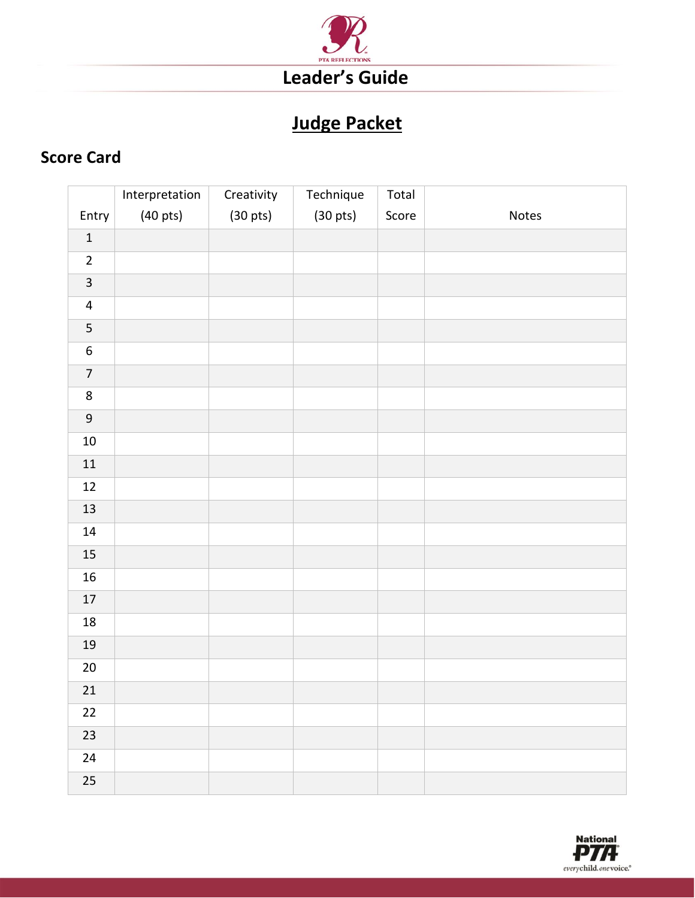

### **Judge Packet**

### **Score Card**

|                         | Interpretation     | Creativity         | Technique          | Total |       |
|-------------------------|--------------------|--------------------|--------------------|-------|-------|
| Entry                   | $(40 \text{ pts})$ | $(30 \text{ pts})$ | $(30 \text{ pts})$ | Score | Notes |
| $\mathbf 1$             |                    |                    |                    |       |       |
| $\overline{2}$          |                    |                    |                    |       |       |
| $\overline{\mathbf{3}}$ |                    |                    |                    |       |       |
| $\overline{\mathbf{4}}$ |                    |                    |                    |       |       |
| 5                       |                    |                    |                    |       |       |
| $\boldsymbol{6}$        |                    |                    |                    |       |       |
| $\overline{7}$          |                    |                    |                    |       |       |
| $\bf 8$                 |                    |                    |                    |       |       |
| $\boldsymbol{9}$        |                    |                    |                    |       |       |
| $10\,$                  |                    |                    |                    |       |       |
| $11\,$                  |                    |                    |                    |       |       |
| $12\,$                  |                    |                    |                    |       |       |
| 13                      |                    |                    |                    |       |       |
| $14\,$                  |                    |                    |                    |       |       |
| $15\,$                  |                    |                    |                    |       |       |
| ${\bf 16}$              |                    |                    |                    |       |       |
| $17\,$                  |                    |                    |                    |       |       |
| $18\,$                  |                    |                    |                    |       |       |
| $19\,$                  |                    |                    |                    |       |       |
| $20\,$                  |                    |                    |                    |       |       |
| $21\,$                  |                    |                    |                    |       |       |
| $22\,$                  |                    |                    |                    |       |       |
| 23                      |                    |                    |                    |       |       |
| $24\,$                  |                    |                    |                    |       |       |
| 25                      |                    |                    |                    |       |       |

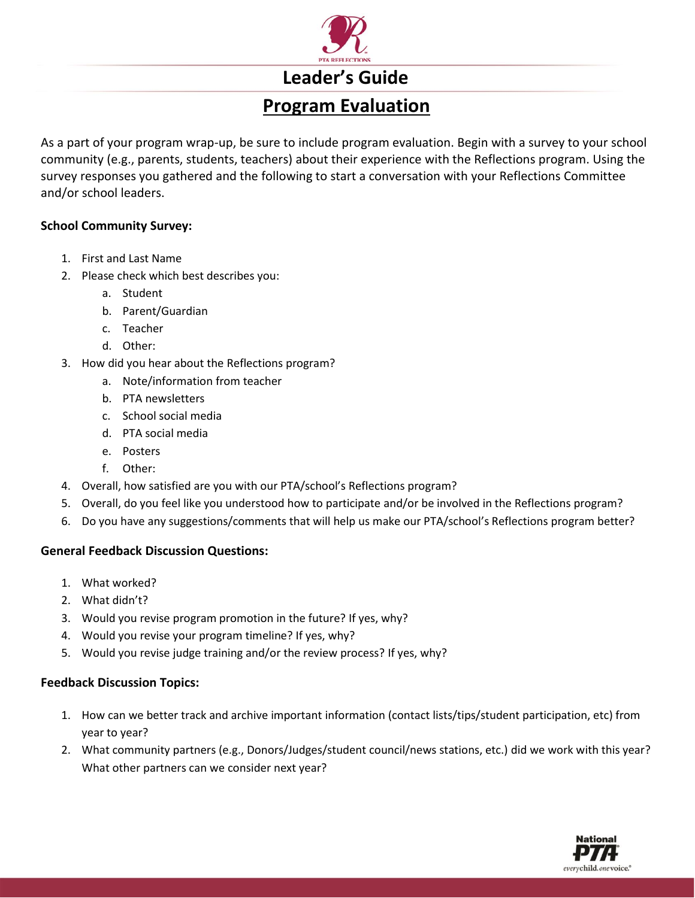

### **Leader's Guide**

### **Program Evaluation**

As a part of your program wrap-up, be sure to include program evaluation. Begin with a survey to your school community (e.g., parents, students, teachers) about their experience with the Reflections program. Using the survey responses you gathered and the following to start a conversation with your Reflections Committee and/or school leaders.

#### **School Community Survey:**

- 1. First and Last Name
- 2. Please check which best describes you:
	- a. Student
	- b. Parent/Guardian
	- c. Teacher
	- d. Other:
- 3. How did you hear about the Reflections program?
	- a. Note/information from teacher
	- b. PTA newsletters
	- c. School social media
	- d. PTA social media
	- e. Posters
	- f. Other:
- 4. Overall, how satisfied are you with our PTA/school's Reflections program?
- 5. Overall, do you feel like you understood how to participate and/or be involved in the Reflections program?
- 6. Do you have any suggestions/comments that will help us make our PTA/school's Reflections program better?

#### **General Feedback Discussion Questions:**

- 1. What worked?
- 2. What didn't?
- 3. Would you revise program promotion in the future? If yes, why?
- 4. Would you revise your program timeline? If yes, why?
- 5. Would you revise judge training and/or the review process? If yes, why?

#### **Feedback Discussion Topics:**

- 1. How can we better track and archive important information (contact lists/tips/student participation, etc) from year to year?
- 2. What community partners (e.g., Donors/Judges/student council/news stations, etc.) did we work with this year? What other partners can we consider next year?

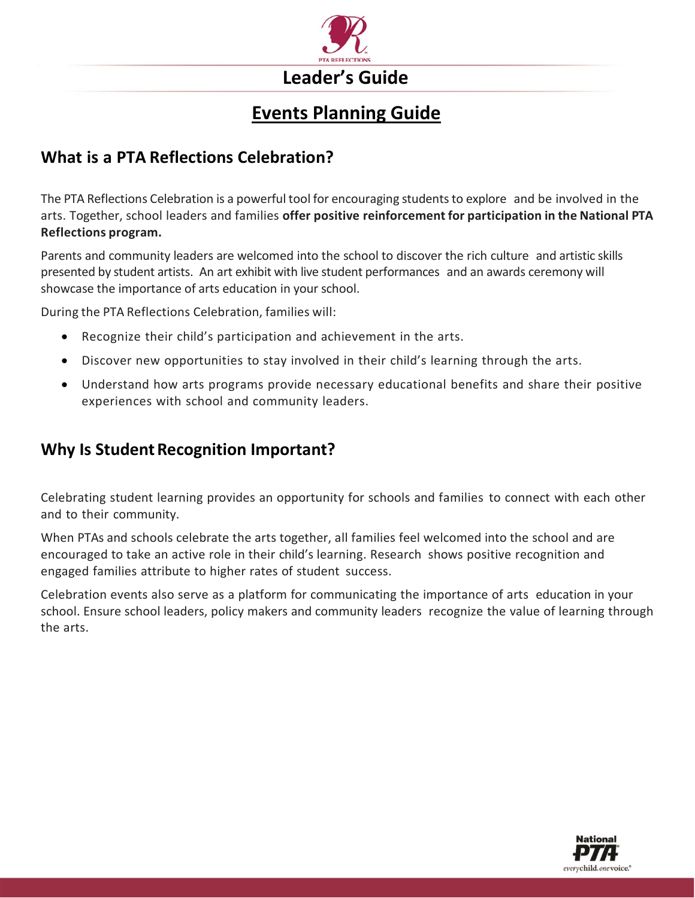

### **Events Planning Guide**

### **What is a PTA Reflections Celebration?**

The PTA Reflections Celebration is a powerful tool for encouraging studentsto explore and be involved in the arts. Together, school leaders and families **offer positive reinforcement for participation in the National PTA Reflections program.**

Parents and community leaders are welcomed into the school to discover the rich culture and artistic skills presented by student artists. An art exhibit with live student performances and an awards ceremony will showcase the importance of arts education in your school.

During the PTA Reflections Celebration, families will:

- Recognize their child's participation and achievement in the arts.
- Discover new opportunities to stay involved in their child's learning through the arts.
- Understand how arts programs provide necessary educational benefits and share their positive experiences with school and community leaders.

### **Why Is Student Recognition Important?**

Celebrating student learning provides an opportunity for schools and families to connect with each other and to their community.

When PTAs and schools celebrate the arts together, all families feel welcomed into the school and are encouraged to take an active role in their child's learning. Research shows positive recognition and engaged families attribute to higher rates of student success.

Celebration events also serve as a platform for communicating the importance of arts education in your school. Ensure school leaders, policy makers and community leaders recognize the value of learning through the arts.

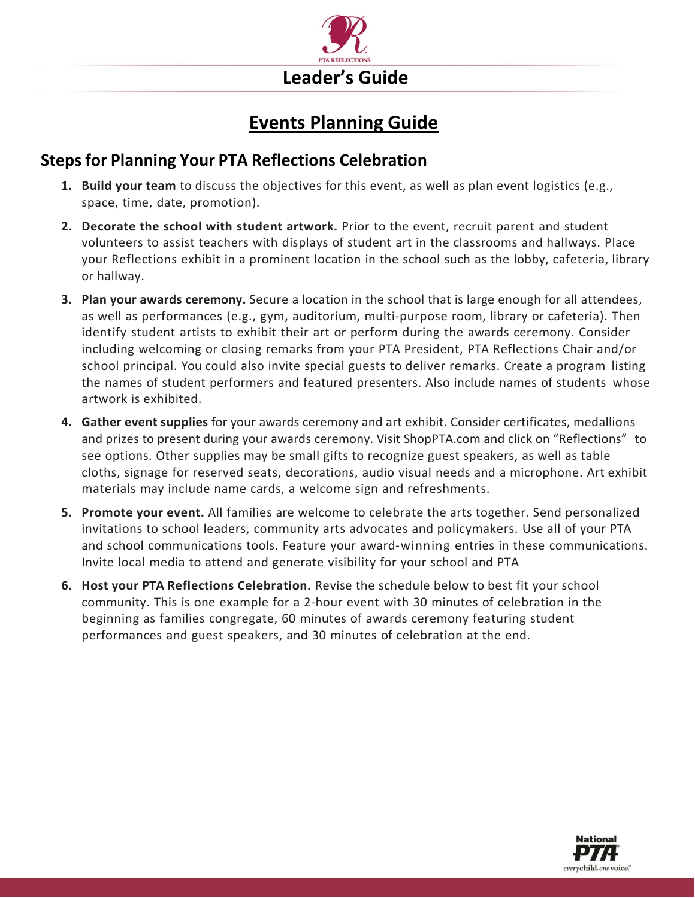

### **Events Planning Guide**

### **Steps for Planning Your PTA Reflections Celebration**

- **1. Build your team** to discuss the objectives for this event, as well as plan event logistics (e.g., space, time, date, promotion).
- **2. Decorate the school with student artwork.** Prior to the event, recruit parent and student volunteers to assist teachers with displays of student art in the classrooms and hallways. Place your Reflections exhibit in a prominent location in the school such as the lobby, cafeteria, library or hallway.
- **3. Plan your awards ceremony.** Secure a location in the school that is large enough for all attendees, as well as performances (e.g., gym, auditorium, multi-purpose room, library or cafeteria). Then identify student artists to exhibit their art or perform during the awards ceremony. Consider including welcoming or closing remarks from your PTA President, PTA Reflections Chair and/or school principal. You could also invite special guests to deliver remarks. Create a program listing the names of student performers and featured presenters. Also include names of students whose artwork is exhibited.
- **4. Gather event supplies** for your awards ceremony and art exhibit. Consider certificates, medallions and prizes to present during your awards ceremony. Visit ShopPTA.com and click on "Reflections" to see options. Other supplies may be small gifts to recognize guest speakers, as well as table cloths, signage for reserved seats, decorations, audio visual needs and a microphone. Art exhibit materials may include name cards, a welcome sign and refreshments.
- **5. Promote your event.** All families are welcome to celebrate the arts together. Send personalized invitations to school leaders, community arts advocates and policymakers. Use all of your PTA and school communications tools. Feature your award-winning entries in these communications. Invite local media to attend and generate visibility for your school and PTA
- **6. Host your PTA Reflections Celebration.** Revise the schedule below to best fit your school community. This is one example for a 2-hour event with 30 minutes of celebration in the beginning as families congregate, 60 minutes of awards ceremony featuring student performances and guest speakers, and 30 minutes of celebration at the end.